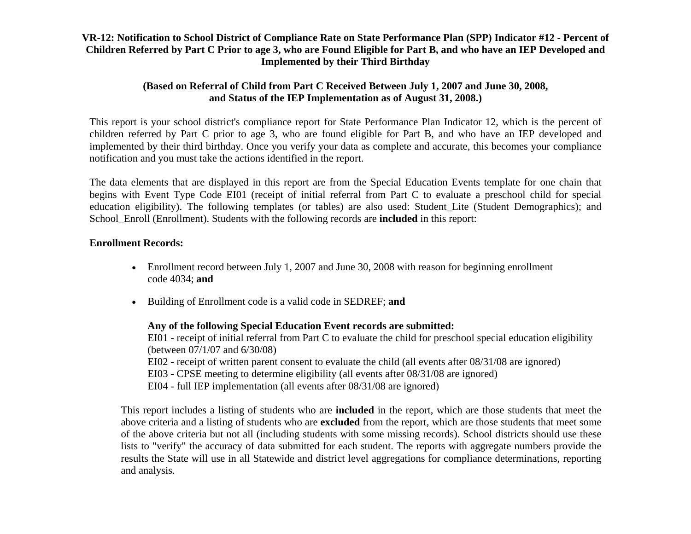## **VR-12: Notification to School District of Compliance Rate on State Performance Plan (SPP) Indicator #12 - Percent of Children Referred by Part C Prior to age 3, who are Found Eligible for Part B, and who have an IEP Developed and Implemented by their Third Birthday**

## **(Based on Referral of Child from Part C Received Between July 1, 2007 and June 30, 2008, and Status of the IEP Implementation as of August 31, 2008.)**

This report is your school district's compliance report for State Performance Plan Indicator 12, which is the percent of children referred by Part C prior to age 3, who are found eligible for Part B, and who have an IEP developed and implemented by their third birthday. Once you verify your data as complete and accurate, this becomes your compliance notification and you must take the actions identified in the report.

The data elements that are displayed in this report are from the Special Education Events template for one chain that begins with Event Type Code EI01 (receipt of initial referral from Part C to evaluate a preschool child for special education eligibility). The following templates (or tables) are also used: Student\_Lite (Student Demographics); and School\_Enroll (Enrollment). Students with the following records are **included** in this report:

## **Enrollment Records:**

- Enrollment record between July 1, 2007 and June 30, 2008 with reason for beginning enrollment code 4034; **and**
- Building of Enrollment code is a valid code in SEDREF; **and**

## **Any of the following Special Education Event records are submitted:**

EI01 - receipt of initial referral from Part C to evaluate the child for preschool special education eligibility (between 07/1/07 and 6/30/08)

- EI02 receipt of written parent consent to evaluate the child (all events after 08/31/08 are ignored)
- EI03 CPSE meeting to determine eligibility (all events after 08/31/08 are ignored)
- EI04 full IEP implementation (all events after 08/31/08 are ignored)

This report includes a listing of students who are **included** in the report, which are those students that meet the above criteria and a listing of students who are **excluded** from the report, which are those students that meet some of the above criteria but not all (including students with some missing records). School districts should use these lists to "verify" the accuracy of data submitted for each student. The reports with aggregate numbers provide the results the State will use in all Statewide and district level aggregations for compliance determinations, reporting and analysis.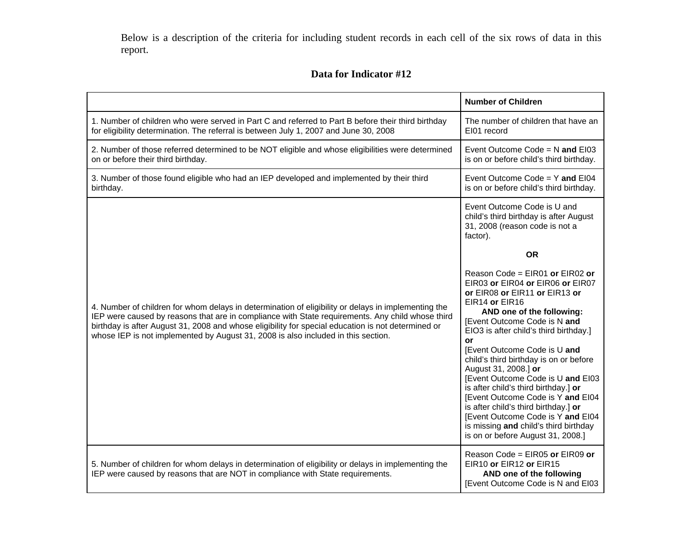Below is a description of the criteria for including student records in each cell of the six rows of data in this report.

#### **Data for Indicator #12**

|                                                                                                                                                                                                                                                                                                                                                                                                    | <b>Number of Children</b>                                                                                                                                                                                                                                                                                                                                                                                                                                                                                                                                                                                                           |
|----------------------------------------------------------------------------------------------------------------------------------------------------------------------------------------------------------------------------------------------------------------------------------------------------------------------------------------------------------------------------------------------------|-------------------------------------------------------------------------------------------------------------------------------------------------------------------------------------------------------------------------------------------------------------------------------------------------------------------------------------------------------------------------------------------------------------------------------------------------------------------------------------------------------------------------------------------------------------------------------------------------------------------------------------|
| 1. Number of children who were served in Part C and referred to Part B before their third birthday<br>for eligibility determination. The referral is between July 1, 2007 and June 30, 2008                                                                                                                                                                                                        | The number of children that have an<br>EI01 record                                                                                                                                                                                                                                                                                                                                                                                                                                                                                                                                                                                  |
| 2. Number of those referred determined to be NOT eligible and whose eligibilities were determined<br>on or before their third birthday.                                                                                                                                                                                                                                                            | Event Outcome Code = $N$ and EI03<br>is on or before child's third birthday.                                                                                                                                                                                                                                                                                                                                                                                                                                                                                                                                                        |
| 3. Number of those found eligible who had an IEP developed and implemented by their third<br>birthday.                                                                                                                                                                                                                                                                                             | Event Outcome Code = $Y$ and EI04<br>is on or before child's third birthday.                                                                                                                                                                                                                                                                                                                                                                                                                                                                                                                                                        |
|                                                                                                                                                                                                                                                                                                                                                                                                    | Event Outcome Code is U and<br>child's third birthday is after August<br>31, 2008 (reason code is not a<br>factor).                                                                                                                                                                                                                                                                                                                                                                                                                                                                                                                 |
| 4. Number of children for whom delays in determination of eligibility or delays in implementing the<br>IEP were caused by reasons that are in compliance with State requirements. Any child whose third<br>birthday is after August 31, 2008 and whose eligibility for special education is not determined or<br>whose IEP is not implemented by August 31, 2008 is also included in this section. | <b>OR</b><br>Reason Code = $EIR01$ or $EIR02$ or<br>EIR03 or EIR04 or EIR06 or EIR07<br>or EIR08 or EIR11 or EIR13 or<br>EIR14 or EIR16<br>AND one of the following:<br>[Event Outcome Code is N and<br>EIO3 is after child's third birthday.]<br>or<br>[Event Outcome Code is U and<br>child's third birthday is on or before<br>August 31, 2008.] or<br>[Event Outcome Code is U and EI03<br>is after child's third birthday.] or<br>[Event Outcome Code is Y and EI04<br>is after child's third birthday.] or<br>[Event Outcome Code is Y and EI04<br>is missing and child's third birthday<br>is on or before August 31, 2008.] |
| 5. Number of children for whom delays in determination of eligibility or delays in implementing the<br>IEP were caused by reasons that are NOT in compliance with State requirements.                                                                                                                                                                                                              | Reason Code = EIR05 or EIR09 or<br>EIR10 or EIR12 or EIR15<br>AND one of the following<br>[Event Outcome Code is N and EI03                                                                                                                                                                                                                                                                                                                                                                                                                                                                                                         |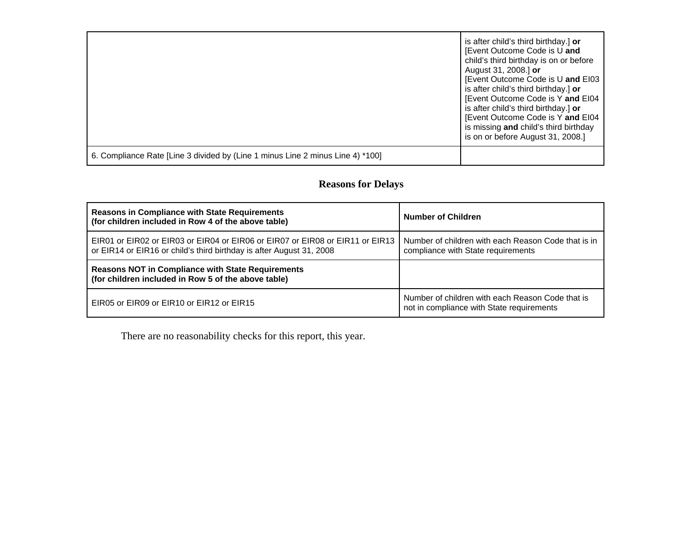|                                                                                | is after child's third birthday.] or<br>[Event Outcome Code is U and<br>child's third birthday is on or before<br>August 31, 2008.] or<br>[Event Outcome Code is U and EI03<br>is after child's third birthday.] or<br>[Event Outcome Code is Y and EI04<br>is after child's third birthday.] or<br>[Event Outcome Code is Y and EI04<br>is missing and child's third birthday<br>is on or before August 31, 2008.] |
|--------------------------------------------------------------------------------|---------------------------------------------------------------------------------------------------------------------------------------------------------------------------------------------------------------------------------------------------------------------------------------------------------------------------------------------------------------------------------------------------------------------|
| 6. Compliance Rate [Line 3 divided by (Line 1 minus Line 2 minus Line 4) *100] |                                                                                                                                                                                                                                                                                                                                                                                                                     |

# **Reasons for Delays**

| <b>Reasons in Compliance with State Requirements</b><br>(for children included in Row 4 of the above table)                                           | <b>Number of Children</b>                                                                     |
|-------------------------------------------------------------------------------------------------------------------------------------------------------|-----------------------------------------------------------------------------------------------|
| EIR01 or EIR02 or EIR03 or EIR04 or EIR06 or EIR07 or EIR08 or EIR11 or EIR13<br>or EIR14 or EIR16 or child's third birthday is after August 31, 2008 | Number of children with each Reason Code that is in<br>compliance with State requirements     |
| <b>Reasons NOT in Compliance with State Requirements</b><br>(for children included in Row 5 of the above table)                                       |                                                                                               |
| EIR05 or EIR09 or EIR10 or EIR12 or EIR15                                                                                                             | Number of children with each Reason Code that is<br>not in compliance with State requirements |

There are no reasonability checks for this report, this year.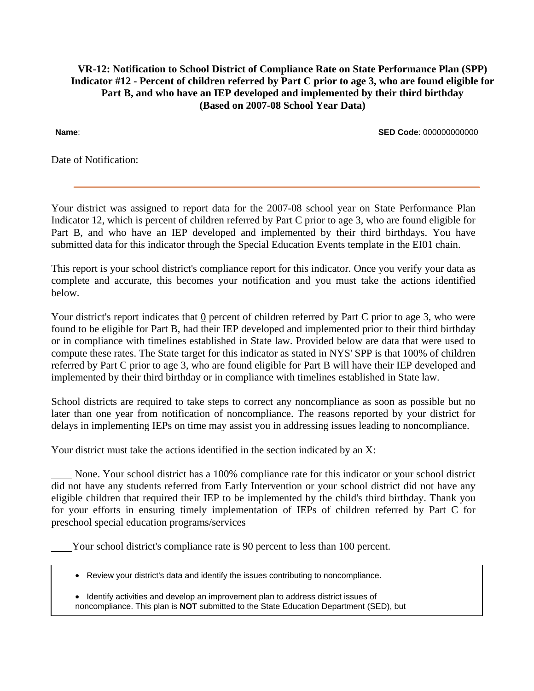## **VR-12: Notification to School District of Compliance Rate on State Performance Plan (SPP) Indicator #12 - Percent of children referred by Part C prior to age 3, who are found eligible for Part B, and who have an IEP developed and implemented by their third birthday (Based on 2007-08 School Year Data)**

**Name**: **SED Code**: 000000000000

Date of Notification:

Your district was assigned to report data for the 2007-08 school year on State Performance Plan Indicator 12, which is percent of children referred by Part C prior to age 3, who are found eligible for Part B, and who have an IEP developed and implemented by their third birthdays. You have submitted data for this indicator through the Special Education Events template in the EI01 chain.

This report is your school district's compliance report for this indicator. Once you verify your data as complete and accurate, this becomes your notification and you must take the actions identified below.

Your district's report indicates that 0 percent of children referred by Part C prior to age 3, who were found to be eligible for Part B, had their IEP developed and implemented prior to their third birthday or in compliance with timelines established in State law. Provided below are data that were used to compute these rates. The State target for this indicator as stated in NYS' SPP is that 100% of children referred by Part C prior to age 3, who are found eligible for Part B will have their IEP developed and implemented by their third birthday or in compliance with timelines established in State law.

School districts are required to take steps to correct any noncompliance as soon as possible but no later than one year from notification of noncompliance. The reasons reported by your district for delays in implementing IEPs on time may assist you in addressing issues leading to noncompliance.

Your district must take the actions identified in the section indicated by an X:

 None. Your school district has a 100% compliance rate for this indicator or your school district did not have any students referred from Early Intervention or your school district did not have any eligible children that required their IEP to be implemented by the child's third birthday. Thank you for your efforts in ensuring timely implementation of IEPs of children referred by Part C for preschool special education programs/services

Your school district's compliance rate is 90 percent to less than 100 percent.

- Review your district's data and identify the issues contributing to noncompliance.
- Identify activities and develop an improvement plan to address district issues of noncompliance. This plan is **NOT** submitted to the State Education Department (SED), but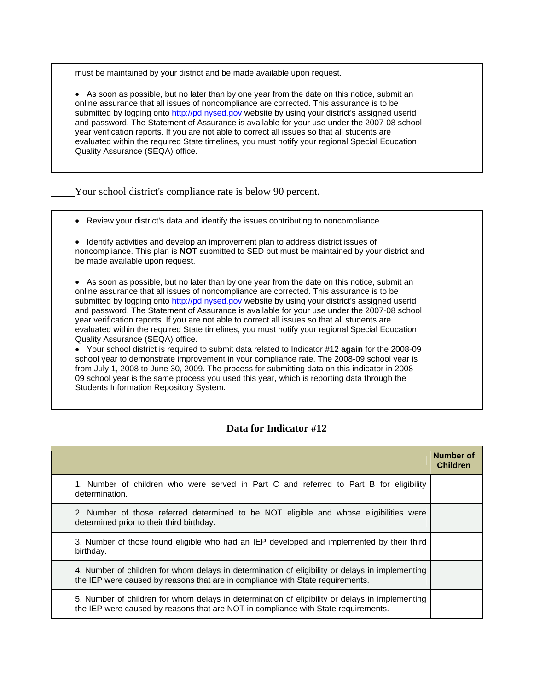must be maintained by your district and be made available upon request.

• As soon as possible, but no later than by one year from the date on this notice, submit an online assurance that all issues of noncompliance are corrected. This assurance is to be submitted by logging onto http://pd.nysed.gov website by using your district's assigned userid and password. The Statement of Assurance is available for your use under the 2007-08 school year verification reports. If you are not able to correct all issues so that all students are evaluated within the required State timelines, you must notify your regional Special Education Quality Assurance (SEQA) office.

Your school district's compliance rate is below 90 percent.

• Review your district's data and identify the issues contributing to noncompliance.

• Identify activities and develop an improvement plan to address district issues of noncompliance. This plan is **NOT** submitted to SED but must be maintained by your district and be made available upon request.

• As soon as possible, but no later than by one year from the date on this notice, submit an online assurance that all issues of noncompliance are corrected. This assurance is to be submitted by logging onto http://pd.nysed.gov website by using your district's assigned userid and password. The Statement of Assurance is available for your use under the 2007-08 school year verification reports. If you are not able to correct all issues so that all students are evaluated within the required State timelines, you must notify your regional Special Education Quality Assurance (SEQA) office.

• Your school district is required to submit data related to Indicator #12 **again** for the 2008-09 school year to demonstrate improvement in your compliance rate. The 2008-09 school year is from July 1, 2008 to June 30, 2009. The process for submitting data on this indicator in 2008- 09 school year is the same process you used this year, which is reporting data through the Students Information Repository System.

### **Data for Indicator #12**

|                                                                                                                                                                                       | Number of<br><b>Children</b> |
|---------------------------------------------------------------------------------------------------------------------------------------------------------------------------------------|------------------------------|
| 1. Number of children who were served in Part C and referred to Part B for eligibility<br>determination.                                                                              |                              |
| 2. Number of those referred determined to be NOT eligible and whose eligibilities were<br>determined prior to their third birthday.                                                   |                              |
| 3. Number of those found eligible who had an IEP developed and implemented by their third<br>birthday.                                                                                |                              |
| 4. Number of children for whom delays in determination of eligibility or delays in implementing<br>the IEP were caused by reasons that are in compliance with State requirements.     |                              |
| 5. Number of children for whom delays in determination of eligibility or delays in implementing<br>the IEP were caused by reasons that are NOT in compliance with State requirements. |                              |